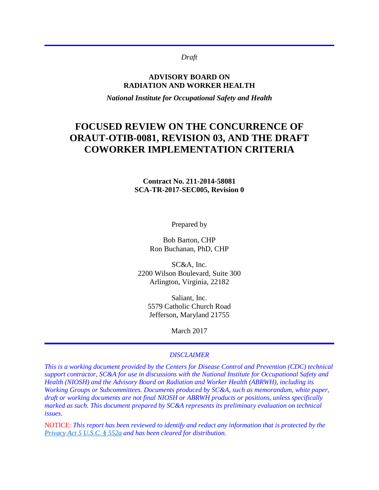#### *Draft*

#### **ADVISORY BOARD ON RADIATION AND WORKER HEALTH**

*National Institute for Occupational Safety and Health*

# **FOCUSED REVIEW ON THE CONCURRENCE OF ORAUT-OTIB-0081, REVISION 03, AND THE DRAFT COWORKER IMPLEMENTATION CRITERIA**

#### **Contract No. 211-2014-58081 SCA-TR-2017-SEC005, Revision 0**

Prepared by

Bob Barton, CHP Ron Buchanan, PhD, CHP

SC&A, Inc. 2200 Wilson Boulevard, Suite 300 Arlington, Virginia, 22182

Saliant, Inc. 5579 Catholic Church Road Jefferson, Maryland 21755

March 2017

#### *DISCLAIMER*

*This is a working document provided by the Centers for Disease Control and Prevention (CDC) technical support contractor, SC&A for use in discussions with the National Institute for Occupational Safety and Health (NIOSH) and the Advisory Board on Radiation and Worker Health (ABRWH), including its Working Groups or Subcommittees. Documents produced by SC&A, such as memorandum, white paper, draft or working documents are not final NIOSH or ABRWH products or positions, unless specifically marked as such. This document prepared by SC&A represents its preliminary evaluation on technical issues.*

NOTICE: *This report has been reviewed to identify and redact any information that is protected by the [Privacy Act 5 U.S.C. § 552a](http://www.justice.gov/opcl/privacy-act-1974) and has been cleared for distribution.*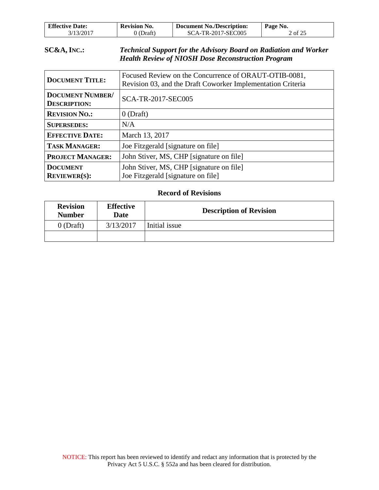| <b>Effective Date:</b> | <b>Revision No.</b> | <b>Document No./Description:</b> | Page No. |
|------------------------|---------------------|----------------------------------|----------|
| 3/13/2017              | 0 (Draft)           | SCA-TR-2017-SEC005               | 2 of 25  |

### **SC&A, INC.:** *Technical Support for the Advisory Board on Radiation and Worker Health Review of NIOSH Dose Reconstruction Program*

| <b>DOCUMENT TITLE:</b>                         | Focused Review on the Concurrence of ORAUT-OTIB-0081,<br>Revision 03, and the Draft Coworker Implementation Criteria |  |
|------------------------------------------------|----------------------------------------------------------------------------------------------------------------------|--|
| <b>DOCUMENT NUMBER/</b><br><b>DESCRIPTION:</b> | <b>SCA-TR-2017-SEC005</b>                                                                                            |  |
| <b>REVISION NO.:</b>                           | $0$ (Draft)                                                                                                          |  |
| <b>SUPERSEDES:</b>                             | N/A                                                                                                                  |  |
| <b>EFFECTIVE DATE:</b>                         | March 13, 2017                                                                                                       |  |
| <b>TASK MANAGER:</b>                           | Joe Fitzgerald [signature on file]                                                                                   |  |
| <b>PROJECT MANAGER:</b>                        | John Stiver, MS, CHP [signature on file]                                                                             |  |
| <b>DOCUMENT</b><br><b>REVIEWER(S):</b>         | John Stiver, MS, CHP [signature on file]<br>Joe Fitzgerald [signature on file]                                       |  |

### **Record of Revisions**

| <b>Revision</b><br><b>Number</b> | <b>Effective</b><br>Date | <b>Description of Revision</b> |
|----------------------------------|--------------------------|--------------------------------|
| $0$ (Draft)                      | 3/13/2017                | Initial issue                  |
|                                  |                          |                                |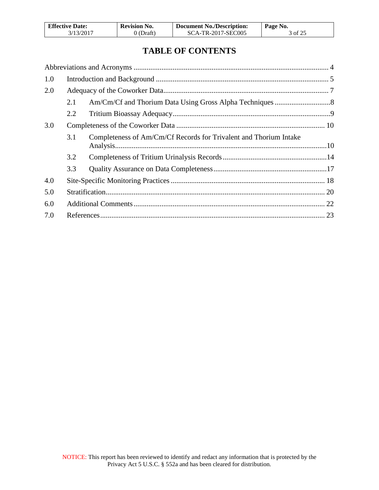| <b>Effective Date:</b> | <b>Revision No.</b> | <b>Document No./Description:</b> | Page No. |
|------------------------|---------------------|----------------------------------|----------|
| 3/13/2017              | 0 (Draft)           | SCA-TR-2017-SEC005               | 3 of 25  |

## **TABLE OF CONTENTS**

| 1.0 |     |                                                                   |  |
|-----|-----|-------------------------------------------------------------------|--|
| 2.0 |     |                                                                   |  |
|     | 2.1 |                                                                   |  |
|     | 2.2 |                                                                   |  |
| 3.0 |     |                                                                   |  |
|     | 3.1 | Completeness of Am/Cm/Cf Records for Trivalent and Thorium Intake |  |
|     | 3.2 |                                                                   |  |
|     | 3.3 |                                                                   |  |
| 4.0 |     |                                                                   |  |
| 5.0 |     |                                                                   |  |
| 6.0 |     |                                                                   |  |
| 7.0 |     |                                                                   |  |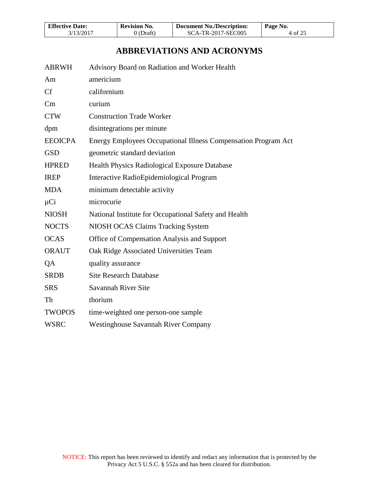| <b>Effective Date:</b> | <b>Revision No.</b> | <b>Document No./Description:</b> | Page No. |
|------------------------|---------------------|----------------------------------|----------|
| 3/13/2017              | 0 (Draft)           | SCA-TR-2017-SEC005               | 4 of 25  |

## **ABBREVIATIONS AND ACRONYMS**

<span id="page-3-0"></span>

| <b>ABRWH</b>   | Advisory Board on Radiation and Worker Health                  |
|----------------|----------------------------------------------------------------|
| Am             | americium                                                      |
| Cf             | californium                                                    |
| Cm             | curium                                                         |
| <b>CTW</b>     | <b>Construction Trade Worker</b>                               |
| dpm            | disintegrations per minute                                     |
| <b>EEOICPA</b> | Energy Employees Occupational Illness Compensation Program Act |
| <b>GSD</b>     | geometric standard deviation                                   |
| <b>HPRED</b>   | Health Physics Radiological Exposure Database                  |
| <b>IREP</b>    | Interactive RadioEpidemiological Program                       |
| <b>MDA</b>     | minimum detectable activity                                    |
| $\mu$ Ci       | microcurie                                                     |
| <b>NIOSH</b>   | National Institute for Occupational Safety and Health          |
| <b>NOCTS</b>   | NIOSH OCAS Claims Tracking System                              |
| <b>OCAS</b>    | Office of Compensation Analysis and Support                    |
| <b>ORAUT</b>   | Oak Ridge Associated Universities Team                         |
| QA             | quality assurance                                              |
| <b>SRDB</b>    | <b>Site Research Database</b>                                  |
| <b>SRS</b>     | Savannah River Site                                            |
| Th             | thorium                                                        |
| <b>TWOPOS</b>  | time-weighted one person-one sample                            |
| <b>WSRC</b>    | <b>Westinghouse Savannah River Company</b>                     |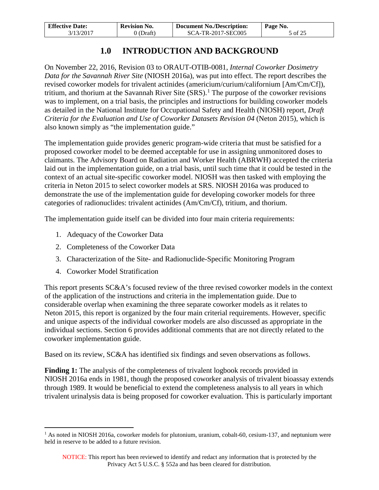| <b>Effective Date:</b> | <b>Revision No.</b> | <b>Document No./Description:</b> | Page No. |
|------------------------|---------------------|----------------------------------|----------|
| 3/13/2017              | 0 (Draft)           | SCA-TR-2017-SEC005               | 5 of 25  |

## **1.0 INTRODUCTION AND BACKGROUND**

<span id="page-4-0"></span>On November 22, 2016, Revision 03 to ORAUT-OTIB-0081, *Internal Coworker Dosimetry Data for the Savannah River Site* (NIOSH 2016a), was put into effect. The report describes the revised coworker models for trivalent actinides (americium/curium/californium [Am/Cm/Cf]), tritium, and thorium at the Savannah River Site  $(SRS)$ .<sup>[1](#page-4-1)</sup> The purpose of the coworker revisions was to implement, on a trial basis, the principles and instructions for building coworker models as detailed in the National Institute for Occupational Safety and Health (NIOSH) report, *Draft Criteria for the Evaluation and Use of Coworker Datasets Revision 04* (Neton 2015), which is also known simply as "the implementation guide."

The implementation guide provides generic program-wide criteria that must be satisfied for a proposed coworker model to be deemed acceptable for use in assigning unmonitored doses to claimants. The Advisory Board on Radiation and Worker Health (ABRWH) accepted the criteria laid out in the implementation guide, on a trial basis, until such time that it could be tested in the context of an actual site-specific coworker model. NIOSH was then tasked with employing the criteria in Neton 2015 to select coworker models at SRS. NIOSH 2016a was produced to demonstrate the use of the implementation guide for developing coworker models for three categories of radionuclides: trivalent actinides (Am/Cm/Cf), tritium, and thorium.

The implementation guide itself can be divided into four main criteria requirements:

- 1. Adequacy of the Coworker Data
- 2. Completeness of the Coworker Data
- 3. Characterization of the Site- and Radionuclide-Specific Monitoring Program
- 4. Coworker Model Stratification

This report presents SC&A's focused review of the three revised coworker models in the context of the application of the instructions and criteria in the implementation guide. Due to considerable overlap when examining the three separate coworker models as it relates to Neton 2015, this report is organized by the four main criterial requirements. However, specific and unique aspects of the individual coworker models are also discussed as appropriate in the individual sections. Section 6 provides additional comments that are not directly related to the coworker implementation guide.

Based on its review, SC&A has identified six findings and seven observations as follows.

**Finding 1:** The analysis of the completeness of trivalent logbook records provided in NIOSH 2016a ends in 1981, though the proposed coworker analysis of trivalent bioassay extends through 1989. It would be beneficial to extend the completeness analysis to all years in which trivalent urinalysis data is being proposed for coworker evaluation. This is particularly important

<span id="page-4-1"></span> $1$  As noted in NIOSH 2016a, coworker models for plutonium, uranium, cobalt-60, cesium-137, and neptunium were held in reserve to be added to a future revision.  $\overline{a}$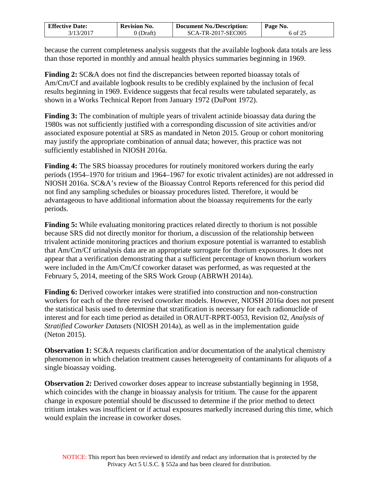| <b>Effective Date:</b> | <b>Revision No.</b> | <b>Document No./Description:</b> | Page No. |
|------------------------|---------------------|----------------------------------|----------|
| 3/13/2017              | 0 (Draft)           | SCA-TR-2017-SEC005               | 6 of 25  |

because the current completeness analysis suggests that the available logbook data totals are less than those reported in monthly and annual health physics summaries beginning in 1969.

**Finding 2:** SC&A does not find the discrepancies between reported bioassay totals of Am/Cm/Cf and available logbook results to be credibly explained by the inclusion of fecal results beginning in 1969. Evidence suggests that fecal results were tabulated separately, as shown in a Works Technical Report from January 1972 (DuPont 1972).

**Finding 3:** The combination of multiple years of trivalent actinide bioassay data during the 1980s was not sufficiently justified with a corresponding discussion of site activities and/or associated exposure potential at SRS as mandated in Neton 2015. Group or cohort monitoring may justify the appropriate combination of annual data; however, this practice was not sufficiently established in NIOSH 2016a.

**Finding 4:** The SRS bioassay procedures for routinely monitored workers during the early periods (1954–1970 for tritium and 1964–1967 for exotic trivalent actinides) are not addressed in NIOSH 2016a. SC&A's review of the Bioassay Control Reports referenced for this period did not find any sampling schedules or bioassay procedures listed. Therefore, it would be advantageous to have additional information about the bioassay requirements for the early periods.

**Finding 5:** While evaluating monitoring practices related directly to thorium is not possible because SRS did not directly monitor for thorium, a discussion of the relationship between trivalent actinide monitoring practices and thorium exposure potential is warranted to establish that Am/Cm/Cf urinalysis data are an appropriate surrogate for thorium exposures. It does not appear that a verification demonstrating that a sufficient percentage of known thorium workers were included in the Am/Cm/Cf coworker dataset was performed, as was requested at the February 5, 2014, meeting of the SRS Work Group (ABRWH 2014a).

**Finding 6:** Derived coworker intakes were stratified into construction and non-construction workers for each of the three revised coworker models. However, NIOSH 2016a does not present the statistical basis used to determine that stratification is necessary for each radionuclide of interest and for each time period as detailed in ORAUT-RPRT-0053, Revision 02, *Analysis of Stratified Coworker Datasets* (NIOSH 2014a), as well as in the implementation guide (Neton 2015).

**Observation 1:** SC&A requests clarification and/or documentation of the analytical chemistry phenomenon in which chelation treatment causes heterogeneity of contaminants for aliquots of a single bioassay voiding.

**Observation 2:** Derived coworker doses appear to increase substantially beginning in 1958, which coincides with the change in bioassay analysis for tritium. The cause for the apparent change in exposure potential should be discussed to determine if the prior method to detect tritium intakes was insufficient or if actual exposures markedly increased during this time, which would explain the increase in coworker doses.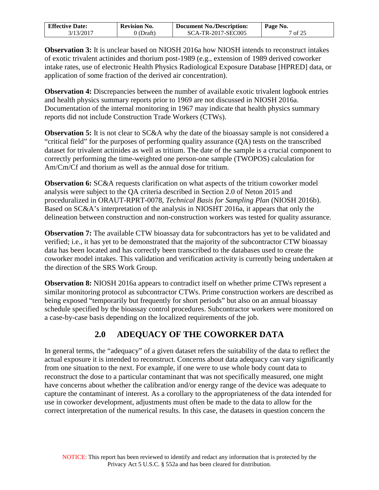| <b>Effective Date:</b> | <b>Revision No.</b> | <b>Document No./Description:</b> | Page No. |
|------------------------|---------------------|----------------------------------|----------|
| 3/13/2017              | (Draft)             | SCA-TR-2017-SEC005               | 7 of 25  |

**Observation 3:** It is unclear based on NIOSH 2016a how NIOSH intends to reconstruct intakes of exotic trivalent actinides and thorium post-1989 (e.g., extension of 1989 derived coworker intake rates, use of electronic Health Physics Radiological Exposure Database [HPRED] data, or application of some fraction of the derived air concentration).

**Observation 4:** Discrepancies between the number of available exotic trivalent logbook entries and health physics summary reports prior to 1969 are not discussed in NIOSH 2016a. Documentation of the internal monitoring in 1967 may indicate that health physics summary reports did not include Construction Trade Workers (CTWs).

**Observation 5:** It is not clear to SC&A why the date of the bioassay sample is not considered a "critical field" for the purposes of performing quality assurance (QA) tests on the transcribed dataset for trivalent actinides as well as tritium. The date of the sample is a crucial component to correctly performing the time-weighted one person-one sample (TWOPOS) calculation for Am/Cm/Cf and thorium as well as the annual dose for tritium.

**Observation 6:** SC&A requests clarification on what aspects of the tritium coworker model analysis were subject to the QA criteria described in Section 2.0 of Neton 2015 and proceduralized in ORAUT-RPRT-0078, *Technical Basis for Sampling Plan* (NIOSH 2016b). Based on SC&A's interpretation of the analysis in NIOSHT 2016a, it appears that only the delineation between construction and non-construction workers was tested for quality assurance.

**Observation 7:** The available CTW bioassay data for subcontractors has yet to be validated and verified; i.e., it has yet to be demonstrated that the majority of the subcontractor CTW bioassay data has been located and has correctly been transcribed to the databases used to create the coworker model intakes. This validation and verification activity is currently being undertaken at the direction of the SRS Work Group.

**Observation 8:** NIOSH 2016a appears to contradict itself on whether prime CTWs represent a similar monitoring protocol as subcontractor CTWs. Prime construction workers are described as being exposed "temporarily but frequently for short periods" but also on an annual bioassay schedule specified by the bioassay control procedures. Subcontractor workers were monitored on a case-by-case basis depending on the localized requirements of the job.

# **2.0 ADEQUACY OF THE COWORKER DATA**

<span id="page-6-0"></span>In general terms, the "adequacy" of a given dataset refers the suitability of the data to reflect the actual exposure it is intended to reconstruct. Concerns about data adequacy can vary significantly from one situation to the next. For example, if one were to use whole body count data to reconstruct the dose to a particular contaminant that was not specifically measured, one might have concerns about whether the calibration and/or energy range of the device was adequate to capture the contaminant of interest. As a corollary to the appropriateness of the data intended for use in coworker development, adjustments must often be made to the data to allow for the correct interpretation of the numerical results. In this case, the datasets in question concern the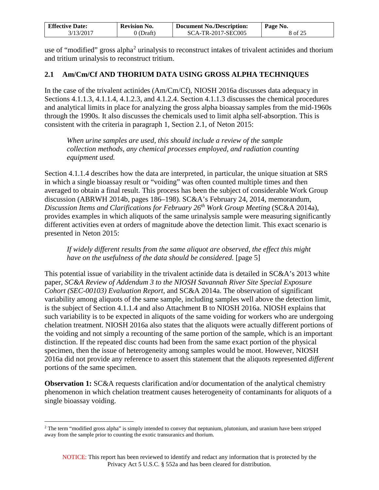| <b>Effective Date:</b> | <b>Revision No.</b> | <b>Document No./Description:</b> | Page No. |
|------------------------|---------------------|----------------------------------|----------|
| 3/13/2017              | 0 (Draft)           | SCA-TR-2017-SEC005               | 8 of 25  |

use of "modified" gross alpha<sup>[2](#page-7-1)</sup> urinalysis to reconstruct intakes of trivalent actinides and thorium and tritium urinalysis to reconstruct tritium.

### <span id="page-7-0"></span>**2.1 Am/Cm/Cf AND THORIUM DATA USING GROSS ALPHA TECHNIQUES**

In the case of the trivalent actinides (Am/Cm/Cf), NIOSH 2016a discusses data adequacy in Sections 4.1.1.3, 4.1.1.4, 4.1.2.3, and 4.1.2.4. Section 4.1.1.3 discusses the chemical procedures and analytical limits in place for analyzing the gross alpha bioassay samples from the mid-1960s through the 1990s. It also discusses the chemicals used to limit alpha self-absorption. This is consistent with the criteria in paragraph 1, Section 2.1, of Neton 2015:

*When urine samples are used, this should include a review of the sample collection methods, any chemical processes employed, and radiation counting equipment used.* 

Section 4.1.1.4 describes how the data are interpreted, in particular, the unique situation at SRS in which a single bioassay result or "voiding" was often counted multiple times and then averaged to obtain a final result. This process has been the subject of considerable Work Group discussion (ABRWH 2014b, pages 186–198). SC&A's February 24, 2014, memorandum, *Discussion Items and Clarifications for February 26th Work Group Meeting* (SC&A 2014a), provides examples in which aliquots of the same urinalysis sample were measuring significantly different activities even at orders of magnitude above the detection limit. This exact scenario is presented in Neton 2015:

*If widely different results from the same aliquot are observed, the effect this might have on the usefulness of the data should be considered.* [page 5]

This potential issue of variability in the trivalent actinide data is detailed in SC&A's 2013 white paper, *SC&A Review of Addendum 3 to the NIOSH Savannah River Site Special Exposure Cohort (SEC-00103) Evaluation Report*, and SC&A 2014a. The observation of significant variability among aliquots of the same sample, including samples well above the detection limit, is the subject of Section 4.1.1.4 and also Attachment B to NIOSH 2016a. NIOSH explains that such variability is to be expected in aliquots of the same voiding for workers who are undergoing chelation treatment. NIOSH 2016a also states that the aliquots were actually different portions of the voiding and not simply a recounting of the same portion of the sample, which is an important distinction. If the repeated disc counts had been from the same exact portion of the physical specimen, then the issue of heterogeneity among samples would be moot. However, NIOSH 2016a did not provide any reference to assert this statement that the aliquots represented *different* portions of the same specimen.

**Observation 1:** SC&A requests clarification and/or documentation of the analytical chemistry phenomenon in which chelation treatment causes heterogeneity of contaminants for aliquots of a single bioassay voiding.

<span id="page-7-1"></span><sup>&</sup>lt;sup>2</sup> The term "modified gross alpha" is simply intended to convey that neptunium, plutonium, and uranium have been stripped away from the sample prior to counting the exotic transuranics and thorium.  $\overline{a}$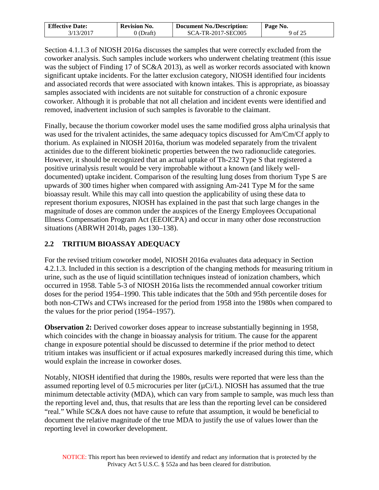| <b>Effective Date:</b> | <b>Revision No.</b> | <b>Document No./Description:</b> | Page No. |
|------------------------|---------------------|----------------------------------|----------|
| 3/13/2017              | ) (Draft)           | SCA-TR-2017-SEC005               | 9 of 25  |

Section 4.1.1.3 of NIOSH 2016a discusses the samples that were correctly excluded from the coworker analysis. Such samples include workers who underwent chelating treatment (this issue was the subject of Finding 17 of SC&A 2013), as well as worker records associated with known significant uptake incidents. For the latter exclusion category, NIOSH identified four incidents and associated records that were associated with known intakes. This is appropriate, as bioassay samples associated with incidents are not suitable for construction of a chronic exposure coworker. Although it is probable that not all chelation and incident events were identified and removed, inadvertent inclusion of such samples is favorable to the claimant.

Finally, because the thorium coworker model uses the same modified gross alpha urinalysis that was used for the trivalent actinides, the same adequacy topics discussed for Am/Cm/Cf apply to thorium. As explained in NIOSH 2016a, thorium was modeled separately from the trivalent actinides due to the different biokinetic properties between the two radionuclide categories. However, it should be recognized that an actual uptake of Th-232 Type S that registered a positive urinalysis result would be very improbable without a known (and likely welldocumented) uptake incident. Comparison of the resulting lung doses from thorium Type S are upwards of 300 times higher when compared with assigning Am-241 Type M for the same bioassay result. While this may call into question the applicability of using these data to represent thorium exposures, NIOSH has explained in the past that such large changes in the magnitude of doses are common under the auspices of the Energy Employees Occupational Illness Compensation Program Act (EEOICPA) and occur in many other dose reconstruction situations (ABRWH 2014b, pages 130–138).

### <span id="page-8-0"></span>**2.2 TRITIUM BIOASSAY ADEQUACY**

For the revised tritium coworker model, NIOSH 2016a evaluates data adequacy in Section 4.2.1.3. Included in this section is a description of the changing methods for measuring tritium in urine, such as the use of liquid scintillation techniques instead of ionization chambers, which occurred in 1958. Table 5-3 of NIOSH 2016a lists the recommended annual coworker tritium doses for the period 1954–1990. This table indicates that the 50th and 95th percentile doses for both non-CTWs and CTWs increased for the period from 1958 into the 1980s when compared to the values for the prior period (1954–1957).

**Observation 2:** Derived coworker doses appear to increase substantially beginning in 1958, which coincides with the change in bioassay analysis for tritium. The cause for the apparent change in exposure potential should be discussed to determine if the prior method to detect tritium intakes was insufficient or if actual exposures markedly increased during this time, which would explain the increase in coworker doses.

Notably, NIOSH identified that during the 1980s, results were reported that were less than the assumed reporting level of 0.5 microcuries per liter  $(\mu Ci/L)$ . NIOSH has assumed that the true minimum detectable activity (MDA), which can vary from sample to sample, was much less than the reporting level and, thus, that results that are less than the reporting level can be considered "real." While SC&A does not have cause to refute that assumption, it would be beneficial to document the relative magnitude of the true MDA to justify the use of values lower than the reporting level in coworker development.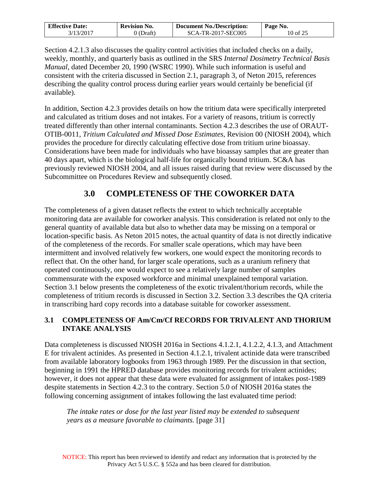| <b>Effective Date:</b> | <b>Revision No.</b> | <b>Document No./Description:</b> | Page No. |
|------------------------|---------------------|----------------------------------|----------|
| 3/13/2017              | (Draft)             | SCA-TR-2017-SEC005               | 10 of 25 |

Section 4.2.1.3 also discusses the quality control activities that included checks on a daily, weekly, monthly, and quarterly basis as outlined in the SRS *Internal Dosimetry Technical Basis Manual*, dated December 20, 1990 (WSRC 1990). While such information is useful and consistent with the criteria discussed in Section 2.1, paragraph 3, of Neton 2015, references describing the quality control process during earlier years would certainly be beneficial (if available).

In addition, Section 4.2.3 provides details on how the tritium data were specifically interpreted and calculated as tritium doses and not intakes. For a variety of reasons, tritium is correctly treated differently than other internal contaminants. Section 4.2.3 describes the use of ORAUT-OTIB-0011, *Tritium Calculated and Missed Dose Estimates,* Revision 00 (NIOSH 2004), which provides the procedure for directly calculating effective dose from tritium urine bioassay. Considerations have been made for individuals who have bioassay samples that are greater than 40 days apart, which is the biological half-life for organically bound tritium. SC&A has previously reviewed NIOSH 2004, and all issues raised during that review were discussed by the Subcommittee on Procedures Review and subsequently closed.

## **3.0 COMPLETENESS OF THE COWORKER DATA**

<span id="page-9-0"></span>The completeness of a given dataset reflects the extent to which technically acceptable monitoring data are available for coworker analysis. This consideration is related not only to the general quantity of available data but also to whether data may be missing on a temporal or location-specific basis. As Neton 2015 notes, the actual quantity of data is not directly indicative of the completeness of the records. For smaller scale operations, which may have been intermittent and involved relatively few workers, one would expect the monitoring records to reflect that. On the other hand, for larger scale operations, such as a uranium refinery that operated continuously, one would expect to see a relatively large number of samples commensurate with the exposed workforce and minimal unexplained temporal variation. Section 3.1 below presents the completeness of the exotic trivalent/thorium records, while the completeness of tritium records is discussed in Section 3.2. Section 3.3 describes the QA criteria in transcribing hard copy records into a database suitable for coworker assessment.

### <span id="page-9-1"></span>**3.1 COMPLETENESS OF Am/Cm/Cf RECORDS FOR TRIVALENT AND THORIUM INTAKE ANALYSIS**

Data completeness is discussed NIOSH 2016a in Sections 4.1.2.1, 4.1.2.2, 4.1.3, and Attachment E for trivalent actinides. As presented in Section 4.1.2.1, trivalent actinide data were transcribed from available laboratory logbooks from 1963 through 1989. Per the discussion in that section, beginning in 1991 the HPRED database provides monitoring records for trivalent actinides; however, it does not appear that these data were evaluated for assignment of intakes post-1989 despite statements in Section 4.2.3 to the contrary. Section 5.0 of NIOSH 2016a states the following concerning assignment of intakes following the last evaluated time period:

*The intake rates or dose for the last year listed may be extended to subsequent years as a measure favorable to claimants.* [page 31]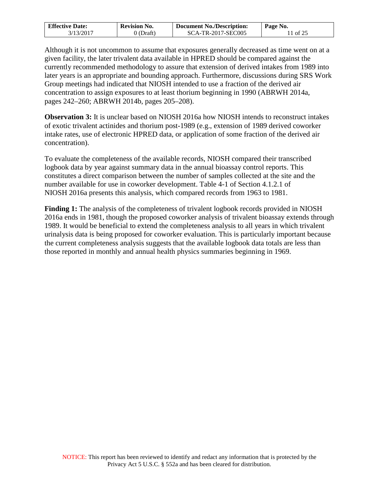| <b>Effective Date:</b> | <b>Revision No.</b> | <b>Document No./Description:</b> | Page No. |
|------------------------|---------------------|----------------------------------|----------|
| 3/13/2017              | ) (Draft)           | SCA-TR-2017-SEC005               | 11 of 25 |

Although it is not uncommon to assume that exposures generally decreased as time went on at a given facility, the later trivalent data available in HPRED should be compared against the currently recommended methodology to assure that extension of derived intakes from 1989 into later years is an appropriate and bounding approach. Furthermore, discussions during SRS Work Group meetings had indicated that NIOSH intended to use a fraction of the derived air concentration to assign exposures to at least thorium beginning in 1990 (ABRWH 2014a, pages 242–260; ABRWH 2014b, pages 205–208).

**Observation 3:** It is unclear based on NIOSH 2016a how NIOSH intends to reconstruct intakes of exotic trivalent actinides and thorium post-1989 (e.g., extension of 1989 derived coworker intake rates, use of electronic HPRED data, or application of some fraction of the derived air concentration).

To evaluate the completeness of the available records, NIOSH compared their transcribed logbook data by year against summary data in the annual bioassay control reports. This constitutes a direct comparison between the number of samples collected at the site and the number available for use in coworker development. Table 4-1 of Section 4.1.2.1 of NIOSH 2016a presents this analysis, which compared records from 1963 to 1981.

**Finding 1:** The analysis of the completeness of trivalent logbook records provided in NIOSH 2016a ends in 1981, though the proposed coworker analysis of trivalent bioassay extends through 1989. It would be beneficial to extend the completeness analysis to all years in which trivalent urinalysis data is being proposed for coworker evaluation. This is particularly important because the current completeness analysis suggests that the available logbook data totals are less than those reported in monthly and annual health physics summaries beginning in 1969.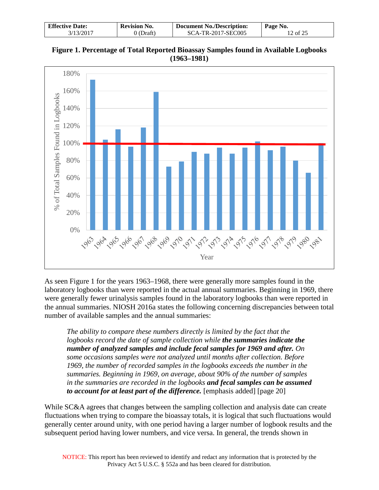| <b>Effective Date:</b> | <b>Revision No.</b> | <b>Document No./Description:</b> | Page No. |
|------------------------|---------------------|----------------------------------|----------|
| 3/13/2017              | (Draft)             | SCA-TR-2017-SEC005               | 12 of 25 |





As seen Figure 1 for the years 1963–1968, there were generally more samples found in the laboratory logbooks than were reported in the actual annual summaries. Beginning in 1969, there were generally fewer urinalysis samples found in the laboratory logbooks than were reported in the annual summaries. NIOSH 2016a states the following concerning discrepancies between total number of available samples and the annual summaries:

*The ability to compare these numbers directly is limited by the fact that the logbooks record the date of sample collection while the summaries indicate the number of analyzed samples and include fecal samples for 1969 and after. On some occasions samples were not analyzed until months after collection. Before 1969, the number of recorded samples in the logbooks exceeds the number in the summaries. Beginning in 1969, on average, about 90% of the number of samples in the summaries are recorded in the logbooks and fecal samples can be assumed to account for at least part of the difference.* [emphasis added] [page 20]

While SC&A agrees that changes between the sampling collection and analysis date can create fluctuations when trying to compare the bioassay totals, it is logical that such fluctuations would generally center around unity, with one period having a larger number of logbook results and the subsequent period having lower numbers, and vice versa. In general, the trends shown in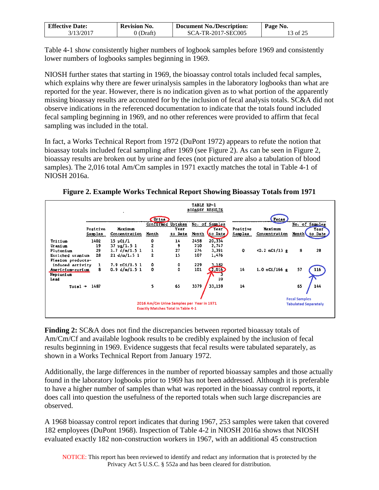| <b>Effective Date:</b> | <b>Revision No.</b> | <b>Document No./Description:</b> | Page No. |
|------------------------|---------------------|----------------------------------|----------|
| 3/13/2017              | J (Draft)           | SCA-TR-2017-SEC005               | 13 of 25 |

Table 4-1 show consistently higher numbers of logbook samples before 1969 and consistently lower numbers of logbooks samples beginning in 1969.

NIOSH further states that starting in 1969, the bioassay control totals included fecal samples, which explains why there are fewer urinalysis samples in the laboratory logbooks than what are reported for the year. However, there is no indication given as to what portion of the apparently missing bioassay results are accounted for by the inclusion of fecal analysis totals. SC&A did not observe indications in the referenced documentation to indicate that the totals found included fecal sampling beginning in 1969, and no other references were provided to affirm that fecal sampling was included in the total.

In fact, a Works Technical Report from 1972 (DuPont 1972) appears to refute the notion that bioassay totals included fecal sampling after 1969 (see Figure 2). As can be seen in Figure 2, bioassay results are broken out by urine and feces (not pictured are also a tabulation of blood samples). The 2,016 total Am/Cm samples in 1971 exactly matches the total in Table 4-1 of NIOSH 2016a.

**Figure 2. Example Works Technical Report Showing Bioassay Totals from 1971** 

|                                                    |                          |                                                   |                |                                                                                        | TABLE HP-1  | <b>BIOASSY RESULTS</b>                         |                     |                          |                                                     |
|----------------------------------------------------|--------------------------|---------------------------------------------------|----------------|----------------------------------------------------------------------------------------|-------------|------------------------------------------------|---------------------|--------------------------|-----------------------------------------------------|
|                                                    |                          |                                                   | <b>Urine</b>   |                                                                                        |             |                                                |                     | <b>Feces</b>             |                                                     |
|                                                    | Positive<br>Samples      | Maximum<br>Concentration                          | Month          | Confirmed Uptakes<br>Year<br>to Date                                                   | Month       | No. of Samples<br>Year <sup>-</sup><br>to Date | Positive<br>Samples | Maximum<br>Concentration | No. of Samples<br>Year<br>Month<br>to Date          |
| <b>Iritium</b><br>Uranium                          | 1402<br>19               | $15 \text{ }\mu \text{C}1/1$<br>$37 \mu g / 1.51$ | 0<br>2         | 14<br>9                                                                                | 2458<br>210 | 20,334<br>2,747                                |                     |                          |                                                     |
| Plutonium<br>Enriched uranium<br>Fission products- | 29<br>28                 | 1.7 d/m/1.5 1<br>21 d/m/1.5 1                     | $\overline{2}$ | 27<br>1 <sub>2</sub>                                                                   | 274<br>107  | 3,391<br>1,476                                 | 0                   | $<0.2$ nCi/13 g          | 8<br>28                                             |
| induced activity<br>Americium-curium               | ı<br>8                   | $7.9$ nC1/1.5 1<br>0.9 d/m/L.5 1                  | ٥<br>0         | ٥<br>$\ddot{\mathbf{0}}$                                                               | 229<br>101  | 3.182<br>2,010                                 | 14                  | $1.0$ nCi/166 g          | 57<br>116                                           |
| Neptunlum<br>Lead                                  |                          |                                                   |                |                                                                                        |             | 10                                             |                     |                          |                                                     |
|                                                    | Total $\rightarrow$ 1487 |                                                   | 5              | 65                                                                                     | 3379        | 33,159                                         | 14                  |                          | 65<br>144                                           |
|                                                    |                          |                                                   |                | 2016 Am/Cm Urine Samples per Year in 1971<br><b>Exactly Matches Total in Table 4-1</b> |             |                                                |                     |                          | <b>Fecal Samples</b><br><b>Tabulated Separately</b> |

**Finding 2:** SC&A does not find the discrepancies between reported bioassay totals of Am/Cm/Cf and available logbook results to be credibly explained by the inclusion of fecal results beginning in 1969. Evidence suggests that fecal results were tabulated separately, as shown in a Works Technical Report from January 1972.

Additionally, the large differences in the number of reported bioassay samples and those actually found in the laboratory logbooks prior to 1969 has not been addressed. Although it is preferable to have a higher number of samples than what was reported in the bioassay control reports, it does call into question the usefulness of the reported totals when such large discrepancies are observed.

A 1968 bioassay control report indicates that during 1967, 253 samples were taken that covered 182 employees (DuPont 1968). Inspection of Table 4-2 in NIOSH 2016a shows that NIOSH evaluated exactly 182 non-construction workers in 1967, with an additional 45 construction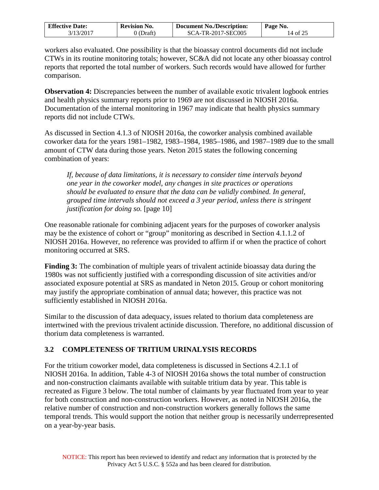| <b>Effective Date:</b> | <b>Revision No.</b> | <b>Document No./Description:</b> | Page No. |
|------------------------|---------------------|----------------------------------|----------|
| 3/13/2017              | ) (Draft)           | SCA-TR-2017-SEC005               | 14 of 25 |

workers also evaluated. One possibility is that the bioassay control documents did not include CTWs in its routine monitoring totals; however, SC&A did not locate any other bioassay control reports that reported the total number of workers. Such records would have allowed for further comparison.

**Observation 4:** Discrepancies between the number of available exotic trivalent logbook entries and health physics summary reports prior to 1969 are not discussed in NIOSH 2016a. Documentation of the internal monitoring in 1967 may indicate that health physics summary reports did not include CTWs.

As discussed in Section 4.1.3 of NIOSH 2016a, the coworker analysis combined available coworker data for the years 1981–1982, 1983–1984, 1985–1986, and 1987–1989 due to the small amount of CTW data during those years. Neton 2015 states the following concerning combination of years:

*If, because of data limitations, it is necessary to consider time intervals beyond one year in the coworker model, any changes in site practices or operations should be evaluated to ensure that the data can be validly combined. In general, grouped time intervals should not exceed a 3 year period, unless there is stringent justification for doing so.* [page 10]

One reasonable rationale for combining adjacent years for the purposes of coworker analysis may be the existence of cohort or "group" monitoring as described in Section 4.1.1.2 of NIOSH 2016a. However, no reference was provided to affirm if or when the practice of cohort monitoring occurred at SRS.

**Finding 3:** The combination of multiple years of trivalent actinide bioassay data during the 1980s was not sufficiently justified with a corresponding discussion of site activities and/or associated exposure potential at SRS as mandated in Neton 2015. Group or cohort monitoring may justify the appropriate combination of annual data; however, this practice was not sufficiently established in NIOSH 2016a.

Similar to the discussion of data adequacy, issues related to thorium data completeness are intertwined with the previous trivalent actinide discussion. Therefore, no additional discussion of thorium data completeness is warranted.

### <span id="page-13-0"></span>**3.2 COMPLETENESS OF TRITIUM URINALYSIS RECORDS**

For the tritium coworker model, data completeness is discussed in Sections 4.2.1.1 of NIOSH 2016a. In addition, Table 4-3 of NIOSH 2016a shows the total number of construction and non-construction claimants available with suitable tritium data by year. This table is recreated as Figure 3 below. The total number of claimants by year fluctuated from year to year for both construction and non-construction workers. However, as noted in NIOSH 2016a, the relative number of construction and non-construction workers generally follows the same temporal trends. This would support the notion that neither group is necessarily underrepresented on a year-by-year basis.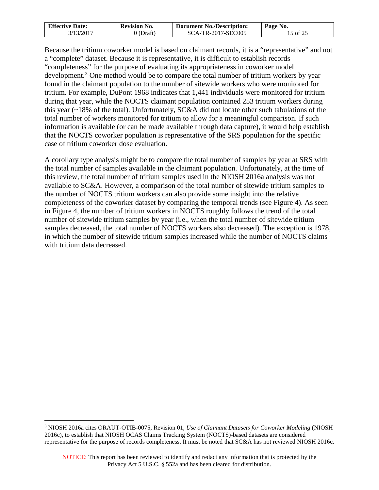| <b>Effective Date:</b> | <b>Revision No.</b> | <b>Document No./Description:</b> | Page No. |
|------------------------|---------------------|----------------------------------|----------|
| 3/13/2017              | (Draft)             | SCA-TR-2017-SEC005               | 15 of 25 |

Because the tritium coworker model is based on claimant records, it is a "representative" and not a "complete" dataset. Because it is representative, it is difficult to establish records "completeness" for the purpose of evaluating its appropriateness in coworker model development.<sup>[3](#page-14-0)</sup> One method would be to compare the total number of tritium workers by year found in the claimant population to the number of sitewide workers who were monitored for tritium. For example, DuPont 1968 indicates that 1,441 individuals were monitored for tritium during that year, while the NOCTS claimant population contained 253 tritium workers during this year (~18% of the total). Unfortunately, SC&A did not locate other such tabulations of the total number of workers monitored for tritium to allow for a meaningful comparison. If such information is available (or can be made available through data capture), it would help establish that the NOCTS coworker population is representative of the SRS population for the specific case of tritium coworker dose evaluation.

A corollary type analysis might be to compare the total number of samples by year at SRS with the total number of samples available in the claimant population. Unfortunately, at the time of this review, the total number of tritium samples used in the NIOSH 2016a analysis was not available to SC&A. However, a comparison of the total number of sitewide tritium samples to the number of NOCTS tritium workers can also provide some insight into the relative completeness of the coworker dataset by comparing the temporal trends (see Figure 4). As seen in Figure 4, the number of tritium workers in NOCTS roughly follows the trend of the total number of sitewide tritium samples by year (i.e., when the total number of sitewide tritium samples decreased, the total number of NOCTS workers also decreased). The exception is 1978, in which the number of sitewide tritium samples increased while the number of NOCTS claims with tritium data decreased.

 $\overline{a}$ 

<span id="page-14-0"></span><sup>3</sup> NIOSH 2016a cites ORAUT-OTIB-0075, Revision 01, *Use of Claimant Datasets for Coworker Modeling* (NIOSH 2016c), to establish that NIOSH OCAS Claims Tracking System (NOCTS)-based datasets are considered representative for the purpose of records completeness. It must be noted that SC&A has not reviewed NIOSH 2016c.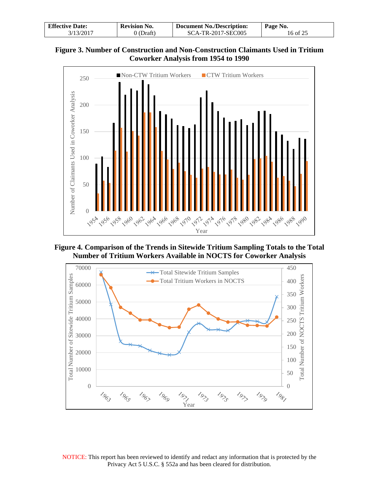| <b>Effective Date:</b> | <b>Revision No.</b> | <b>Document No./Description:</b> | Page No. |
|------------------------|---------------------|----------------------------------|----------|
| 3/13/2017              | 0 (Draft)           | SCA-TR-2017-SEC005               | 16 of 25 |





**Figure 4. Comparison of the Trends in Sitewide Tritium Sampling Totals to the Total Number of Tritium Workers Available in NOCTS for Coworker Analysis**



NOTICE: This report has been reviewed to identify and redact any information that is protected by the Privacy Act 5 U.S.C. § 552a and has been cleared for distribution.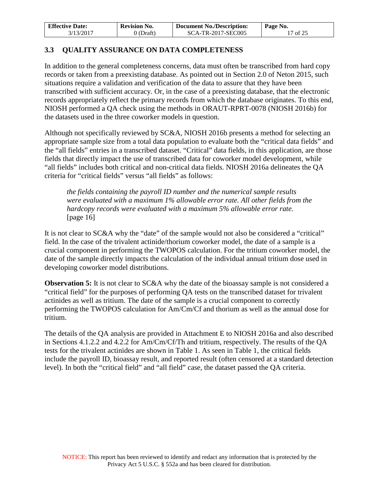| <b>Effective Date:</b> | <b>Revision No.</b> | <b>Document No./Description:</b> | Page No. |
|------------------------|---------------------|----------------------------------|----------|
| 3/13/2017              | 0 (Draft)           | SCA-TR-2017-SEC005               | 17 of 25 |

### <span id="page-16-0"></span>**3.3 QUALITY ASSURANCE ON DATA COMPLETENESS**

In addition to the general completeness concerns, data must often be transcribed from hard copy records or taken from a preexisting database. As pointed out in Section 2.0 of Neton 2015, such situations require a validation and verification of the data to assure that they have been transcribed with sufficient accuracy. Or, in the case of a preexisting database, that the electronic records appropriately reflect the primary records from which the database originates. To this end, NIOSH performed a QA check using the methods in ORAUT-RPRT-0078 (NIOSH 2016b) for the datasets used in the three coworker models in question.

Although not specifically reviewed by SC&A, NIOSH 2016b presents a method for selecting an appropriate sample size from a total data population to evaluate both the "critical data fields" and the "all fields" entries in a transcribed dataset. "Critical" data fields, in this application, are those fields that directly impact the use of transcribed data for coworker model development, while "all fields" includes both critical and non-critical data fields. NIOSH 2016a delineates the QA criteria for "critical fields" versus "all fields" as follows:

*the fields containing the payroll ID number and the numerical sample results were evaluated with a maximum 1% allowable error rate. All other fields from the hardcopy records were evaluated with a maximum 5% allowable error rate.*  [page 16]

It is not clear to SC&A why the "date" of the sample would not also be considered a "critical" field. In the case of the trivalent actinide/thorium coworker model, the date of a sample is a crucial component in performing the TWOPOS calculation. For the tritium coworker model, the date of the sample directly impacts the calculation of the individual annual tritium dose used in developing coworker model distributions.

**Observation 5:** It is not clear to SC&A why the date of the bioassay sample is not considered a "critical field" for the purposes of performing QA tests on the transcribed dataset for trivalent actinides as well as tritium. The date of the sample is a crucial component to correctly performing the TWOPOS calculation for Am/Cm/Cf and thorium as well as the annual dose for tritium.

The details of the QA analysis are provided in Attachment E to NIOSH 2016a and also described in Sections 4.1.2.2 and 4.2.2 for Am/Cm/Cf/Th and tritium, respectively. The results of the QA tests for the trivalent actinides are shown in Table 1. As seen in Table 1, the critical fields include the payroll ID, bioassay result, and reported result (often censored at a standard detection level). In both the "critical field" and "all field" case, the dataset passed the QA criteria.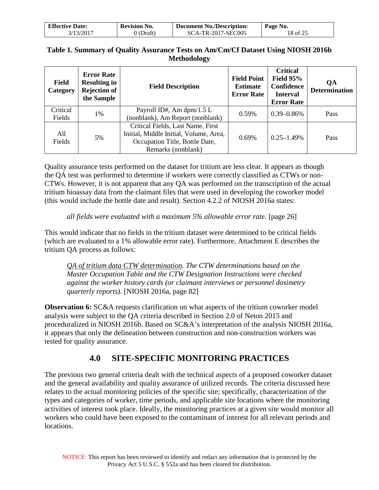| <b>Effective Date:</b> | <b>Revision No.</b> | <b>Document No./Description:</b> | Page No. |
|------------------------|---------------------|----------------------------------|----------|
| 3/13/2017              | (Draft)             | SCA-TR-2017-SEC005               | 18 of 25 |

### **Table 1. Summary of Quality Assurance Tests on Am/Cm/Cf Dataset Using NIOSH 2016b Methodology**

| <b>Field</b><br>Category | <b>Error Rate</b><br><b>Resulting in</b><br><b>Rejection of</b><br>the Sample | <b>Field Description</b>                                                    | <b>Field Point</b><br><b>Estimate</b><br><b>Error Rate</b> | <b>Critical</b><br>Field $95%$<br>Confidence<br><b>Interval</b><br><b>Error Rate</b> | QA<br><b>Determination</b> |
|--------------------------|-------------------------------------------------------------------------------|-----------------------------------------------------------------------------|------------------------------------------------------------|--------------------------------------------------------------------------------------|----------------------------|
| Critical                 | 1%                                                                            | Payroll ID#, Am dpm/1.5 L                                                   | 0.59%                                                      | $0.39 - 0.86\%$                                                                      | Pass                       |
| Fields                   |                                                                               | (nonblank), Am Report (nonblank)                                            |                                                            |                                                                                      |                            |
| All                      |                                                                               | Critical Fields, Last Name, First<br>Initial, Middle Initial, Volume, Area, |                                                            |                                                                                      |                            |
|                          | 5%                                                                            |                                                                             | 0.69%                                                      | $0.25 - 1.49\%$                                                                      | Pass                       |
| Fields                   |                                                                               | Occupation Title, Bottle Date,                                              |                                                            |                                                                                      |                            |
|                          |                                                                               | Remarks (nonblank)                                                          |                                                            |                                                                                      |                            |

Quality assurance tests performed on the dataset for tritium are less clear. It appears as though the QA test was performed to determine if workers were correctly classified as CTWs or non-CTWs. However, it is not apparent that any QA was performed on the transcription of the actual tritium bioassay data from the claimant files that were used in developing the coworker model (this would include the bottle date and result). Section 4.2.2 of NIOSH 2016a states:

### *all fields were evaluated with a maximum 5% allowable error rate.* [page 26]

This would indicate that no fields in the tritium dataset were determined to be critical fields (which are evaluated to a 1% allowable error rate). Furthermore, Attachment E describes the tritium QA process as follows:

*QA of tritium data CTW determination. The CTW determinations based on the Master Occupation Table and the CTW Designation Instructions were checked against the worker history cards (or claimant interviews or personnel dosimetry quarterly reports).* [NIOSH 2016a, page 82]

**Observation 6:** SC&A requests clarification on what aspects of the tritium coworker model analysis were subject to the QA criteria described in Section 2.0 of Neton 2015 and proceduralized in NIOSH 2016b. Based on SC&A's interpretation of the analysis NIOSH 2016a, it appears that only the delineation between construction and non-construction workers was tested for quality assurance.

## **4.0 SITE-SPECIFIC MONITORING PRACTICES**

<span id="page-17-0"></span>The previous two general criteria dealt with the technical aspects of a proposed coworker dataset and the general availability and quality assurance of utilized records. The criteria discussed here relates to the actual monitoring policies of the specific site; specifically, characterization of the types and categories of worker, time periods, and applicable site locations where the monitoring activities of interest took place. Ideally, the monitoring practices at a given site would monitor all workers who could have been exposed to the contaminant of interest for all relevant periods and locations.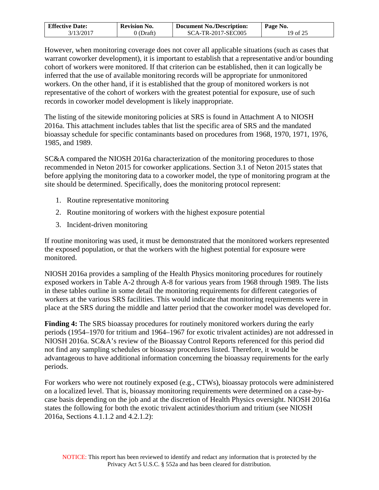| <b>Effective Date:</b> | <b>Revision No.</b> | <b>Document No./Description:</b> | Page No. |
|------------------------|---------------------|----------------------------------|----------|
| 3/13/2017              | J (Draft)           | SCA-TR-2017-SEC005               | 19 of 25 |

However, when monitoring coverage does not cover all applicable situations (such as cases that warrant coworker development), it is important to establish that a representative and/or bounding cohort of workers were monitored. If that criterion can be established, then it can logically be inferred that the use of available monitoring records will be appropriate for unmonitored workers. On the other hand, if it is established that the group of monitored workers is not representative of the cohort of workers with the greatest potential for exposure, use of such records in coworker model development is likely inappropriate.

The listing of the sitewide monitoring policies at SRS is found in Attachment A to NIOSH 2016a. This attachment includes tables that list the specific area of SRS and the mandated bioassay schedule for specific contaminants based on procedures from 1968, 1970, 1971, 1976, 1985, and 1989.

SC&A compared the NIOSH 2016a characterization of the monitoring procedures to those recommended in Neton 2015 for coworker applications. Section 3.1 of Neton 2015 states that before applying the monitoring data to a coworker model, the type of monitoring program at the site should be determined. Specifically, does the monitoring protocol represent:

- 1. Routine representative monitoring
- 2. Routine monitoring of workers with the highest exposure potential
- 3. Incident-driven monitoring

If routine monitoring was used, it must be demonstrated that the monitored workers represented the exposed population, or that the workers with the highest potential for exposure were monitored.

NIOSH 2016a provides a sampling of the Health Physics monitoring procedures for routinely exposed workers in Table A-2 through A-8 for various years from 1968 through 1989. The lists in these tables outline in some detail the monitoring requirements for different categories of workers at the various SRS facilities. This would indicate that monitoring requirements were in place at the SRS during the middle and latter period that the coworker model was developed for.

**Finding 4:** The SRS bioassay procedures for routinely monitored workers during the early periods (1954–1970 for tritium and 1964–1967 for exotic trivalent actinides) are not addressed in NIOSH 2016a. SC&A's review of the Bioassay Control Reports referenced for this period did not find any sampling schedules or bioassay procedures listed. Therefore, it would be advantageous to have additional information concerning the bioassay requirements for the early periods.

For workers who were not routinely exposed (e.g., CTWs), bioassay protocols were administered on a localized level. That is, bioassay monitoring requirements were determined on a case-bycase basis depending on the job and at the discretion of Health Physics oversight. NIOSH 2016a states the following for both the exotic trivalent actinides/thorium and tritium (see NIOSH 2016a, Sections 4.1.1.2 and 4.2.1.2):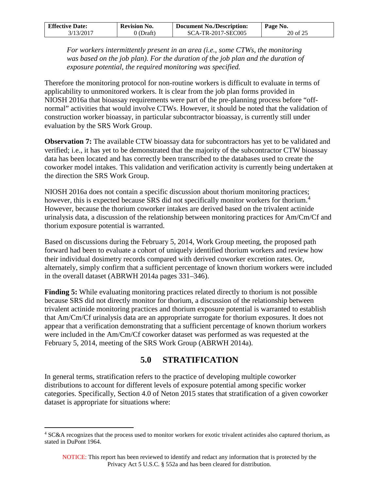| <b>Effective Date:</b> | <b>Revision No.</b> | <b>Document No./Description:</b> | Page No. |
|------------------------|---------------------|----------------------------------|----------|
| 3/13/2017              | 0 (Draft)           | SCA-TR-2017-SEC005               | 20 of 25 |

*For workers intermittently present in an area (i.e., some CTWs, the monitoring*  was based on the job plan). For the duration of the job plan and the duration of *exposure potential, the required monitoring was specified.* 

Therefore the monitoring protocol for non-routine workers is difficult to evaluate in terms of applicability to unmonitored workers. It is clear from the job plan forms provided in NIOSH 2016a that bioassay requirements were part of the pre-planning process before "offnormal" activities that would involve CTWs. However, it should be noted that the validation of construction worker bioassay, in particular subcontractor bioassay, is currently still under evaluation by the SRS Work Group.

**Observation 7:** The available CTW bioassay data for subcontractors has yet to be validated and verified; i.e., it has yet to be demonstrated that the majority of the subcontractor CTW bioassay data has been located and has correctly been transcribed to the databases used to create the coworker model intakes. This validation and verification activity is currently being undertaken at the direction the SRS Work Group.

NIOSH 2016a does not contain a specific discussion about thorium monitoring practices; however, this is expected because SRS did not specifically monitor workers for thorium.<sup>[4](#page-19-1)</sup> However, because the thorium coworker intakes are derived based on the trivalent actinide urinalysis data, a discussion of the relationship between monitoring practices for Am/Cm/Cf and thorium exposure potential is warranted.

Based on discussions during the February 5, 2014, Work Group meeting, the proposed path forward had been to evaluate a cohort of uniquely identified thorium workers and review how their individual dosimetry records compared with derived coworker excretion rates. Or, alternately, simply confirm that a sufficient percentage of known thorium workers were included in the overall dataset (ABRWH 2014a pages 331–346).

**Finding 5:** While evaluating monitoring practices related directly to thorium is not possible because SRS did not directly monitor for thorium, a discussion of the relationship between trivalent actinide monitoring practices and thorium exposure potential is warranted to establish that Am/Cm/Cf urinalysis data are an appropriate surrogate for thorium exposures. It does not appear that a verification demonstrating that a sufficient percentage of known thorium workers were included in the Am/Cm/Cf coworker dataset was performed as was requested at the February 5, 2014, meeting of the SRS Work Group (ABRWH 2014a).

## **5.0 STRATIFICATION**

<span id="page-19-0"></span>In general terms, stratification refers to the practice of developing multiple coworker distributions to account for different levels of exposure potential among specific worker categories. Specifically, Section 4.0 of Neton 2015 states that stratification of a given coworker dataset is appropriate for situations where:

<span id="page-19-1"></span><sup>&</sup>lt;sup>4</sup> SC&A recognizes that the process used to monitor workers for exotic trivalent actinides also captured thorium, as stated in DuPont 1964.  $\overline{a}$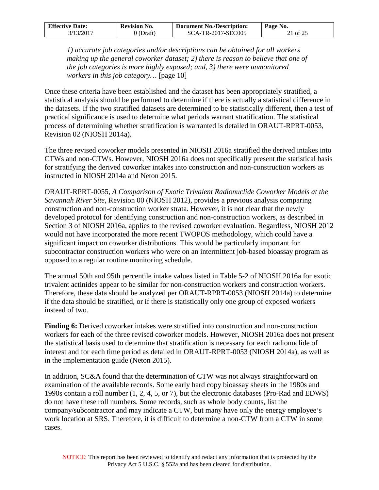| <b>Effective Date:</b> | <b>Revision No.</b> | <b>Document No./Description:</b> | Page No. |
|------------------------|---------------------|----------------------------------|----------|
| 3/13/2017              | 0 (Draft)           | SCA-TR-2017-SEC005               | 21 of 25 |

*1) accurate job categories and/or descriptions can be obtained for all workers making up the general coworker dataset; 2) there is reason to believe that one of the job categories is more highly exposed; and, 3) there were unmonitored workers in this job category…* [page 10]

Once these criteria have been established and the dataset has been appropriately stratified, a statistical analysis should be performed to determine if there is actually a statistical difference in the datasets. If the two stratified datasets are determined to be statistically different, then a test of practical significance is used to determine what periods warrant stratification. The statistical process of determining whether stratification is warranted is detailed in ORAUT-RPRT-0053, Revision 02 (NIOSH 2014a).

The three revised coworker models presented in NIOSH 2016a stratified the derived intakes into CTWs and non-CTWs. However, NIOSH 2016a does not specifically present the statistical basis for stratifying the derived coworker intakes into construction and non-construction workers as instructed in NIOSH 2014a and Neton 2015.

ORAUT-RPRT-0055, *A Comparison of Exotic Trivalent Radionuclide Coworker Models at the Savannah River Site*, Revision 00 (NIOSH 2012), provides a previous analysis comparing construction and non-construction worker strata. However, it is not clear that the newly developed protocol for identifying construction and non-construction workers, as described in Section 3 of NIOSH 2016a, applies to the revised coworker evaluation. Regardless, NIOSH 2012 would not have incorporated the more recent TWOPOS methodology, which could have a significant impact on coworker distributions. This would be particularly important for subcontractor construction workers who were on an intermittent job-based bioassay program as opposed to a regular routine monitoring schedule.

The annual 50th and 95th percentile intake values listed in Table 5-2 of NIOSH 2016a for exotic trivalent actinides appear to be similar for non-construction workers and construction workers. Therefore, these data should be analyzed per ORAUT-RPRT-0053 (NIOSH 2014a) to determine if the data should be stratified, or if there is statistically only one group of exposed workers instead of two.

**Finding 6:** Derived coworker intakes were stratified into construction and non-construction workers for each of the three revised coworker models. However, NIOSH 2016a does not present the statistical basis used to determine that stratification is necessary for each radionuclide of interest and for each time period as detailed in ORAUT-RPRT-0053 (NIOSH 2014a), as well as in the implementation guide (Neton 2015).

In addition, SC&A found that the determination of CTW was not always straightforward on examination of the available records. Some early hard copy bioassay sheets in the 1980s and 1990s contain a roll number (1, 2, 4, 5, or 7), but the electronic databases (Pro-Rad and EDWS) do not have these roll numbers. Some records, such as whole body counts, list the company/subcontractor and may indicate a CTW, but many have only the energy employee's work location at SRS. Therefore, it is difficult to determine a non-CTW from a CTW in some cases.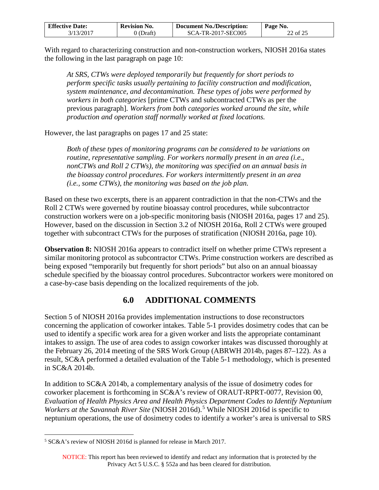| <b>Effective Date:</b> | <b>Revision No.</b> | <b>Document No./Description:</b> | Page No. |
|------------------------|---------------------|----------------------------------|----------|
| 3/13/2017              | 0 (Draft)           | SCA-TR-2017-SEC005               | 22 of 25 |

With regard to characterizing construction and non-construction workers, NIOSH 2016a states the following in the last paragraph on page 10:

*At SRS, CTWs were deployed temporarily but frequently for short periods to perform specific tasks usually pertaining to facility construction and modification, system maintenance, and decontamination. These types of jobs were performed by workers in both categories* [prime CTWs and subcontracted CTWs as per the previous paragraph]*. Workers from both categories worked around the site, while production and operation staff normally worked at fixed locations.* 

However, the last paragraphs on pages 17 and 25 state:

*Both of these types of monitoring programs can be considered to be variations on routine, representative sampling. For workers normally present in an area (i.e., nonCTWs and Roll 2 CTWs), the monitoring was specified on an annual basis in the bioassay control procedures. For workers intermittently present in an area (i.e., some CTWs), the monitoring was based on the job plan.* 

Based on these two excerpts, there is an apparent contradiction in that the non-CTWs and the Roll 2 CTWs were governed by routine bioassay control procedures, while subcontractor construction workers were on a job-specific monitoring basis (NIOSH 2016a, pages 17 and 25). However, based on the discussion in Section 3.2 of NIOSH 2016a, Roll 2 CTWs were grouped together with subcontract CTWs for the purposes of stratification (NIOSH 2016a, page 10).

**Observation 8:** NIOSH 2016a appears to contradict itself on whether prime CTWs represent a similar monitoring protocol as subcontractor CTWs. Prime construction workers are described as being exposed "temporarily but frequently for short periods" but also on an annual bioassay schedule specified by the bioassay control procedures. Subcontractor workers were monitored on a case-by-case basis depending on the localized requirements of the job.

## **6.0 ADDITIONAL COMMENTS**

<span id="page-21-0"></span>Section 5 of NIOSH 2016a provides implementation instructions to dose reconstructors concerning the application of coworker intakes. Table 5-1 provides dosimetry codes that can be used to identify a specific work area for a given worker and lists the appropriate contaminant intakes to assign. The use of area codes to assign coworker intakes was discussed thoroughly at the February 26, 2014 meeting of the SRS Work Group (ABRWH 2014b, pages 87–122). As a result, SC&A performed a detailed evaluation of the Table 5-1 methodology, which is presented in SC&A 2014b.

In addition to SC&A 2014b, a complementary analysis of the issue of dosimetry codes for coworker placement is forthcoming in SC&A's review of ORAUT-RPRT-0077, Revision 00, *Evaluation of Health Physics Area and Health Physics Department Codes to Identify Neptunium*  Workers at the Savannah River Site (NIOSH 2016d).<sup>[5](#page-21-1)</sup> While NIOSH 2016d is specific to neptunium operations, the use of dosimetry codes to identify a worker's area is universal to SRS

<span id="page-21-1"></span><sup>5</sup> SC&A's review of NIOSH 2016d is planned for release in March 2017.  $\overline{a}$ 

NOTICE: This report has been reviewed to identify and redact any information that is protected by the Privacy Act 5 U.S.C. § 552a and has been cleared for distribution.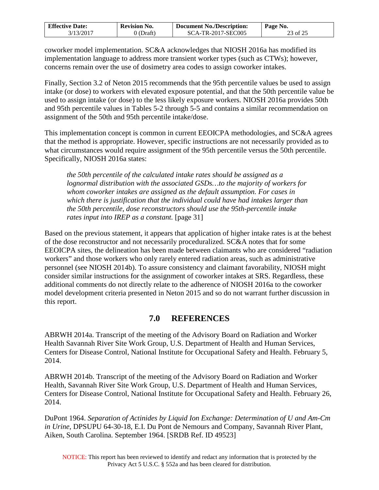| <b>Effective Date:</b> | <b>Revision No.</b> | <b>Document No./Description:</b> | Page No. |
|------------------------|---------------------|----------------------------------|----------|
| 3/13/2017              | 0 (Draft)           | SCA-TR-2017-SEC005               | 23 of 25 |

coworker model implementation. SC&A acknowledges that NIOSH 2016a has modified its implementation language to address more transient worker types (such as CTWs); however, concerns remain over the use of dosimetry area codes to assign coworker intakes.

Finally, Section 3.2 of Neton 2015 recommends that the 95th percentile values be used to assign intake (or dose) to workers with elevated exposure potential, and that the 50th percentile value be used to assign intake (or dose) to the less likely exposure workers. NIOSH 2016a provides 50th and 95th percentile values in Tables 5-2 through 5-5 and contains a similar recommendation on assignment of the 50th and 95th percentile intake/dose.

This implementation concept is common in current EEOICPA methodologies, and SC&A agrees that the method is appropriate. However, specific instructions are not necessarily provided as to what circumstances would require assignment of the 95th percentile versus the 50th percentile. Specifically, NIOSH 2016a states:

*the 50th percentile of the calculated intake rates should be assigned as a lognormal distribution with the associated GSDs…to the majority of workers for whom coworker intakes are assigned as the default assumption. For cases in which there is justification that the individual could have had intakes larger than the 50th percentile, dose reconstructors should use the 95th-percentile intake rates input into IREP as a constant.* [page 31]

Based on the previous statement, it appears that application of higher intake rates is at the behest of the dose reconstructor and not necessarily proceduralized. SC&A notes that for some EEOICPA sites, the delineation has been made between claimants who are considered "radiation workers" and those workers who only rarely entered radiation areas, such as administrative personnel (see NIOSH 2014b). To assure consistency and claimant favorability, NIOSH might consider similar instructions for the assignment of coworker intakes at SRS. Regardless, these additional comments do not directly relate to the adherence of NIOSH 2016a to the coworker model development criteria presented in Neton 2015 and so do not warrant further discussion in this report.

### **7.0 REFERENCES**

<span id="page-22-0"></span>ABRWH 2014a. Transcript of the meeting of the Advisory Board on Radiation and Worker Health Savannah River Site Work Group, U.S. Department of Health and Human Services, Centers for Disease Control, National Institute for Occupational Safety and Health. February 5, 2014.

ABRWH 2014b. Transcript of the meeting of the Advisory Board on Radiation and Worker Health, Savannah River Site Work Group, U.S. Department of Health and Human Services, Centers for Disease Control, National Institute for Occupational Safety and Health. February 26, 2014.

DuPont 1964. *Separation of Actinides by Liquid Ion Exchange: Determination of U and Am-Cm in Urine*, DPSUPU 64-30-18, E.I. Du Pont de Nemours and Company, Savannah River Plant, Aiken, South Carolina. September 1964. [SRDB Ref. ID 49523]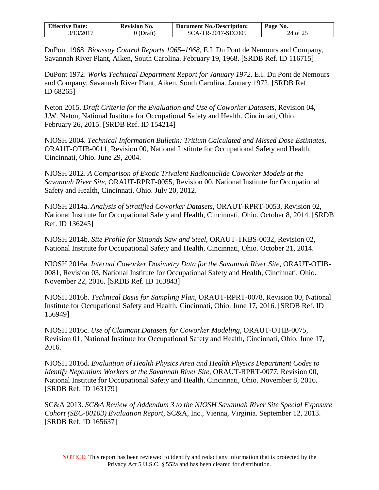| <b>Effective Date:</b> | <b>Revision No.</b> | <b>Document No./Description:</b> | Page No. |
|------------------------|---------------------|----------------------------------|----------|
| 3/13/2017              | (Draft)             | SCA-TR-2017-SEC005               | 24 of 25 |

DuPont 1968. *Bioassay Control Reports 1965–1968*, E.I. Du Pont de Nemours and Company, Savannah River Plant, Aiken, South Carolina. February 19, 1968. [SRDB Ref. ID 116715]

DuPont 1972. *Works Technical Department Report for January 1972*. E.I. Du Pont de Nemours and Company, Savannah River Plant, Aiken, South Carolina. January 1972. [SRDB Ref. ID 68265]

Neton 2015. *Draft Criteria for the Evaluation and Use of Coworker Datasets*, Revision 04, J.W. Neton, National Institute for Occupational Safety and Health. Cincinnati, Ohio. February 26, 2015. [SRDB Ref. ID 154214]

NIOSH 2004. *Technical Information Bulletin: Tritium Calculated and Missed Dose Estimates*, ORAUT-OTIB-0011, Revision 00, National Institute for Occupational Safety and Health, Cincinnati, Ohio. June 29, 2004.

NIOSH 2012. *A Comparison of Exotic Trivalent Radionuclide Coworker Models at the Savannah River Site*, ORAUT-RPRT-0055, Revision 00, National Institute for Occupational Safety and Health, Cincinnati, Ohio. July 20, 2012.

NIOSH 2014a. *Analysis of Stratified Coworker Datasets*, ORAUT-RPRT-0053, Revision 02, National Institute for Occupational Safety and Health, Cincinnati, Ohio. October 8, 2014. [SRDB Ref. ID 136245]

NIOSH 2014b. *Site Profile for Simonds Saw and Steel*, ORAUT-TKBS-0032, Revision 02, National Institute for Occupational Safety and Health, Cincinnati, Ohio. October 21, 2014.

NIOSH 2016a. *Internal Coworker Dosimetry Data for the Savannah River Site*, ORAUT-OTIB-0081, Revision 03, National Institute for Occupational Safety and Health, Cincinnati, Ohio. November 22, 2016. [SRDB Ref. ID 163843]

NIOSH 2016b. *Technical Basis for Sampling Plan*, ORAUT-RPRT-0078, Revision 00, National Institute for Occupational Safety and Health, Cincinnati, Ohio. June 17, 2016. [SRDB Ref. ID 156949]

NIOSH 2016c. *Use of Claimant Datasets for Coworker Modeling*, ORAUT-OTIB-0075, Revision 01, National Institute for Occupational Safety and Health, Cincinnati, Ohio. June 17, 2016.

NIOSH 2016d. *Evaluation of Health Physics Area and Health Physics Department Codes to Identify Neptunium Workers at the Savannah River Site*, ORAUT-RPRT-0077, Revision 00, National Institute for Occupational Safety and Health, Cincinnati, Ohio. November 8, 2016. [SRDB Ref. ID 163179]

SC&A 2013. *SC&A Review of Addendum 3 to the NIOSH Savannah River Site Special Exposure Cohort (SEC-00103) Evaluation Report*, SC&A, Inc., Vienna, Virginia. September 12, 2013. [SRDB Ref. ID 165637]